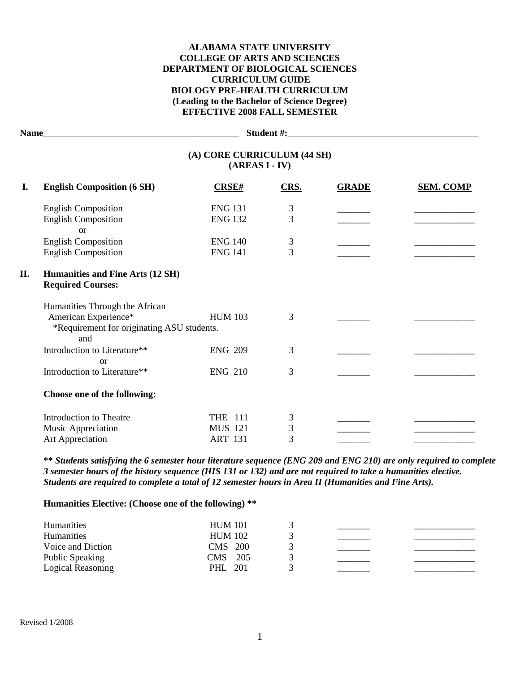### **ALABAMA STATE UNIVERSITY COLLEGE OF ARTS AND SCIENCES DEPARTMENT OF BIOLOGICAL SCIENCES CURRICULUM GUIDE BIOLOGY PRE-HEALTH CURRICULUM (Leading to the Bachelor of Science Degree) EFFECTIVE 2008 FALL SEMESTER**

| Name_ |                                                              |                |                |              |                  |  |
|-------|--------------------------------------------------------------|----------------|----------------|--------------|------------------|--|
|       | (A) CORE CURRICULUM (44 SH)<br>$(AREAS I - IV)$              |                |                |              |                  |  |
| I.    | <b>English Composition (6 SH)</b>                            | CRSE#          | CRS.           | <b>GRADE</b> | <b>SEM. COMP</b> |  |
|       | <b>English Composition</b>                                   | <b>ENG 131</b> | 3              |              |                  |  |
|       | <b>English Composition</b><br><b>or</b>                      | <b>ENG 132</b> | 3              |              |                  |  |
|       | <b>English Composition</b>                                   | <b>ENG 140</b> | 3              |              |                  |  |
|       | <b>English Composition</b>                                   | <b>ENG 141</b> | $\overline{3}$ |              |                  |  |
| II.   | Humanities and Fine Arts (12 SH)<br><b>Required Courses:</b> |                |                |              |                  |  |
|       | Humanities Through the African                               |                |                |              |                  |  |
|       | American Experience*                                         | <b>HUM 103</b> | 3              |              |                  |  |
|       | *Requirement for originating ASU students.<br>and            |                |                |              |                  |  |
|       | Introduction to Literature**<br><sub>or</sub>                | <b>ENG 209</b> | 3              |              |                  |  |
|       | Introduction to Literature**                                 | <b>ENG 210</b> | 3              |              |                  |  |
|       | Choose one of the following:                                 |                |                |              |                  |  |
|       | Introduction to Theatre                                      | <b>THE 111</b> | 3              |              |                  |  |
|       | Music Appreciation                                           | <b>MUS 121</b> | 3              |              |                  |  |
|       | Art Appreciation                                             | <b>ART 131</b> | 3              |              |                  |  |

**\*\*** *Students satisfying the 6 semester hour literature sequence (ENG 209 and ENG 210) are only required to complete 3 semester hours of the history sequence (HIS 131 or 132) and are not required to take a humanities elective. Students are required to complete a total of 12 semester hours in Area II (Humanities and Fine Arts).*

**Humanities Elective: (Choose one of the following) \*\***

| <b>Humanities</b> | <b>HUM 101</b> |  |  |
|-------------------|----------------|--|--|
| Humanities        | <b>HUM 102</b> |  |  |
| Voice and Diction | CMS 200        |  |  |
| Public Speaking   | CMS 205        |  |  |
| Logical Reasoning | PHL 201        |  |  |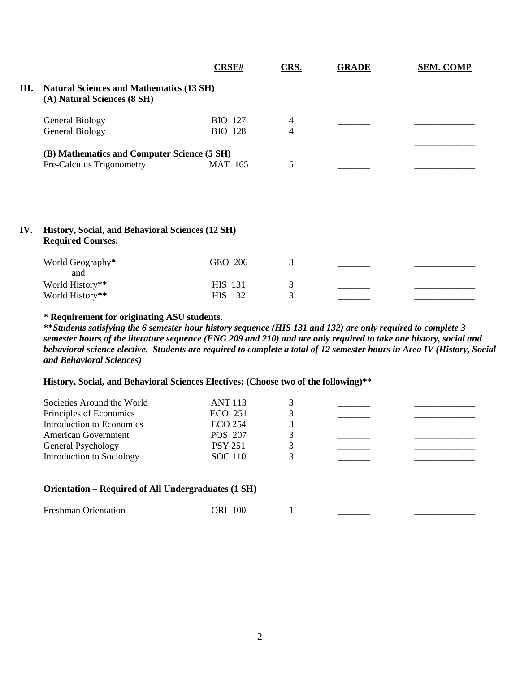|     |                                                                                | <b>CRSE#</b>   | CRS. | <b>GRADE</b> | <b>SEM. COMP</b> |
|-----|--------------------------------------------------------------------------------|----------------|------|--------------|------------------|
| Ш.  | <b>Natural Sciences and Mathematics (13 SH)</b><br>(A) Natural Sciences (8 SH) |                |      |              |                  |
|     | <b>General Biology</b>                                                         | <b>BIO</b> 127 | 4    |              |                  |
|     | <b>General Biology</b>                                                         | <b>BIO 128</b> | 4    |              |                  |
|     | (B) Mathematics and Computer Science (5 SH)                                    |                |      |              |                  |
|     | Pre-Calculus Trigonometry                                                      | <b>MAT 165</b> | 5    |              |                  |
|     |                                                                                |                |      |              |                  |
| IV. | History, Social, and Behavioral Sciences (12 SH)<br><b>Required Courses:</b>   |                |      |              |                  |
|     | World Geography*<br>and                                                        | GEO 206        | 3    |              |                  |
|     | World History**                                                                | <b>HIS</b> 131 | 3    |              |                  |
|     | World History**                                                                | HIS 132        | 3    |              |                  |

### **\* Requirement for originating ASU students.**

**\*\****Students satisfying the 6 semester hour history sequence (HIS 131 and 132) are only required to complete 3 semester hours of the literature sequence (ENG 209 and 210) and are only required to take one history, social and behavioral science elective. Students are required to complete a total of 12 semester hours in Area IV (History, Social and Behavioral Sciences)*

# **History, Social, and Behavioral Sciences Electives: (Choose two of the following)\*\***

| Societies Around the World                          | <b>ANT 113</b> |   |  |
|-----------------------------------------------------|----------------|---|--|
| Principles of Economics                             | ECO 251        | 3 |  |
| Introduction to Economics                           | <b>ECO 254</b> |   |  |
| American Government                                 | POS 207        |   |  |
| General Psychology                                  | <b>PSY 251</b> | 3 |  |
| Introduction to Sociology                           | <b>SOC</b> 110 |   |  |
| Orientation – Required of All Undergraduates (1 SH) |                |   |  |
| <b>Freshman Orientation</b>                         | ORI 100        |   |  |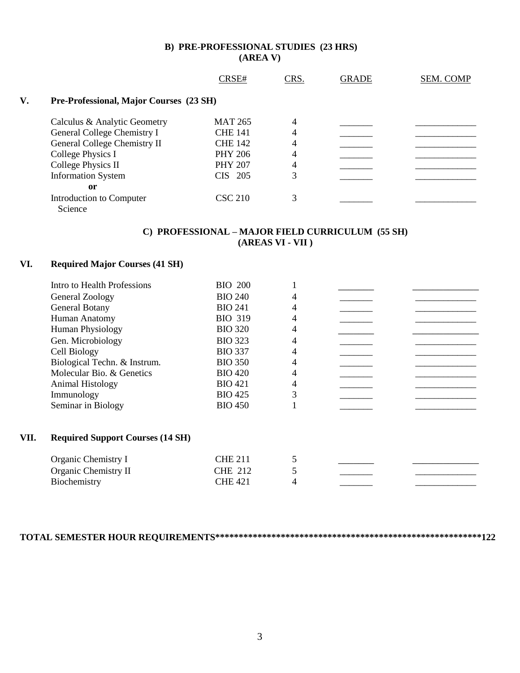## **B) PRE-PROFESSIONAL STUDIES (23 HRS) (AREA V)**

|    |                                         | CRSE#          | CRS.           | <b>GRADE</b> | <b>SEM. COMP</b> |
|----|-----------------------------------------|----------------|----------------|--------------|------------------|
| V. | Pre-Professional, Major Courses (23 SH) |                |                |              |                  |
|    | Calculus & Analytic Geometry            | <b>MAT 265</b> | 4              |              |                  |
|    | General College Chemistry I             | <b>CHE 141</b> | $\overline{4}$ |              |                  |
|    | General College Chemistry II            | <b>CHE 142</b> | 4              |              |                  |
|    | College Physics I                       | <b>PHY 206</b> | 4              |              |                  |
|    | College Physics II                      | <b>PHY 207</b> | 4              |              |                  |
|    | <b>Information System</b>               | $CIS$ 205      | 3              |              |                  |
|    | <sub>or</sub>                           |                |                |              |                  |
|    | Introduction to Computer<br>Science     | <b>CSC 210</b> |                |              |                  |

# **C) PROFESSIONAL – MAJOR FIELD CURRICULUM (55 SH) (AREAS VI - VII )**

# **VI. Required Major Courses (41 SH)**

|      | Intro to Health Professions             | <b>BIO 200</b> |   |  |
|------|-----------------------------------------|----------------|---|--|
|      | General Zoology                         | <b>BIO 240</b> | 4 |  |
|      | General Botany                          | <b>BIO 241</b> | 4 |  |
|      | Human Anatomy                           | <b>BIO 319</b> | 4 |  |
|      | <b>Human Physiology</b>                 | <b>BIO 320</b> | 4 |  |
|      | Gen. Microbiology                       | <b>BIO 323</b> | 4 |  |
|      | Cell Biology                            | <b>BIO 337</b> | 4 |  |
|      | Biological Techn. & Instrum.            | <b>BIO 350</b> | 4 |  |
|      | Molecular Bio. & Genetics               | <b>BIO 420</b> | 4 |  |
|      | Animal Histology                        | <b>BIO 421</b> | 4 |  |
|      | Immunology                              | <b>BIO 425</b> | 3 |  |
|      | Seminar in Biology                      | <b>BIO 450</b> |   |  |
|      |                                         |                |   |  |
| VII. | <b>Required Support Courses (14 SH)</b> |                |   |  |
|      | Organic Chemistry I                     | <b>CHE 211</b> | 5 |  |
|      | Organic Chemistry II                    | <b>CHE 212</b> | 5 |  |
|      | Biochemistry                            | <b>CHE 421</b> |   |  |
|      |                                         |                |   |  |

**TOTAL SEMESTER HOUR REQUIREMENTS\*\*\*\*\*\*\*\*\*\*\*\*\*\*\*\*\*\*\*\*\*\*\*\*\*\*\*\*\*\*\*\*\*\*\*\*\*\*\*\*\*\*\*\*\*\*\*\*\*\*\*\*\*\*\*\*\*122**